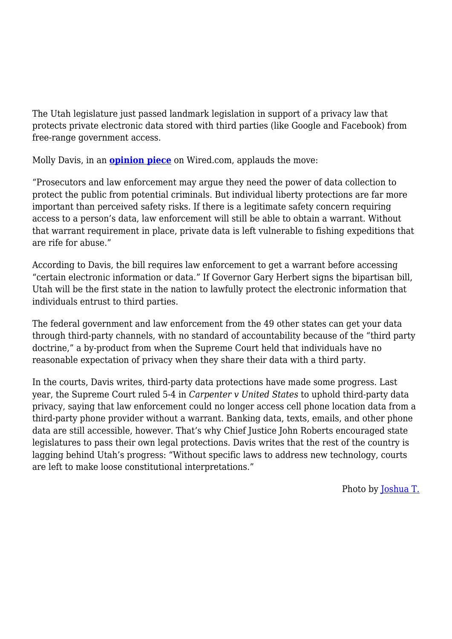The Utah legislature just passed landmark legislation in support of a privacy law that protects private electronic data stored with third parties (like Google and Facebook) from free-range government access.

Molly Davis, in an **[opinion piece](https://www.wired.com/story/utah-digital-privacy-legislation/amp?__twitter_impression=true)** on Wired.com, applauds the move:

"Prosecutors and law enforcement may argue they need the power of data collection to protect the public from potential criminals. But individual liberty protections are far more important than perceived safety risks. If there is a legitimate safety concern requiring access to a person's data, law enforcement will still be able to obtain a warrant. Without that warrant requirement in place, private data is left vulnerable to fishing expeditions that are rife for abuse."

According to Davis, the bill requires law enforcement to get a warrant before accessing "certain electronic information or data." If Governor Gary Herbert signs the bipartisan bill, Utah will be the first state in the nation to lawfully protect the electronic information that individuals entrust to third parties.

The federal government and law enforcement from the 49 other states can get your data through third-party channels, with no standard of accountability because of the "third party doctrine," a by-product from when the Supreme Court held that individuals have no reasonable expectation of privacy when they share their data with a third party.

In the courts, Davis writes, third-party data protections have made some progress. Last year, the Supreme Court ruled 5-4 in *Carpenter v United States* to uphold third-party data privacy, saying that law enforcement could no longer access cell phone location data from a third-party phone provider without a warrant. Banking data, texts, emails, and other phone data are still accessible, however. That's why Chief Justice John Roberts encouraged state legislatures to pass their own legal protections. Davis writes that the rest of the country is lagging behind Utah's progress: "Without specific laws to address new technology, courts are left to make loose constitutional interpretations."

Photo by [Joshua T.](https://www.pexels.com/photo/welcome-to-utah-poster-under-blue-daytime-sky-954289/)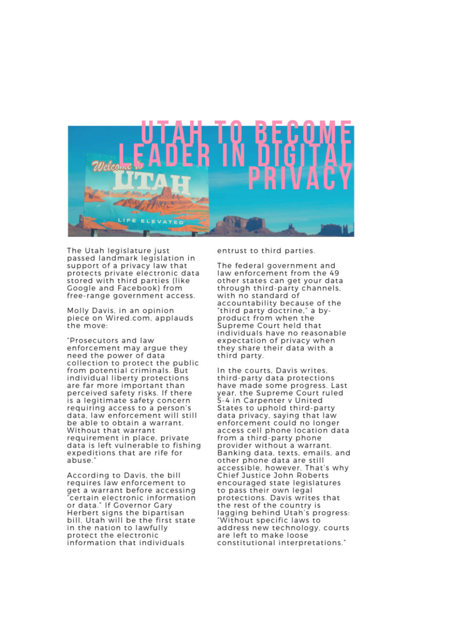

The Utah legislature just passed landmark legislation in support of a privacy law that protects private electronic data stored with third parties (like Google and Facebook) from free-range government access.

Molly Davis, in an opinion piece on Wired.com, applauds the move:

"Prosecutors and law enforcement may argue they need the power of data collection to protect the public from potential criminals. But individual liberty protections are far more important than perceived safety risks. If there is a legitimate safety concern requiring access to a person's data, law enforcement will still be able to obtain a warrant. Without that warrant requirement in place, private data is left vulnerable to fishing expeditions that are rife for abuse.

According to Davis, the bill requires law enforcement to get a warrant before accessing certain electronic information or data." If Governor Gary Herbert signs the bipartisan bill. Utah will be the first state in the nation to lawfully protect the electronic information that individuals

entrust to third parties.

The federal government and law enforcement from the 49 other states can get your data through third-party channels. with no standard of accountability because of the "third party doctrine," a byproduct from when the Supreme Court held that individuals have no reasonable expectation of privacy when they share their data with a third party.

In the courts. Davis writes. third-party data protections have made some progress. Last year, the Supreme Court ruled 5-4 in Carpenter v United States to uphold third-party data privacy, saying that law enforcement could no longer access cell phone location data from a third-party phone provider without a warrant. Banking data, texts, emails, and other phone data are still accessible, however. That's why Chief Justice John Roberts encouraged state legislatures to pass their own legal protections. Davis writes that the rest of the country is lagging behind Utah's progress: "Without specific laws to address new technology, courts are left to make loose constitutional interpretations."